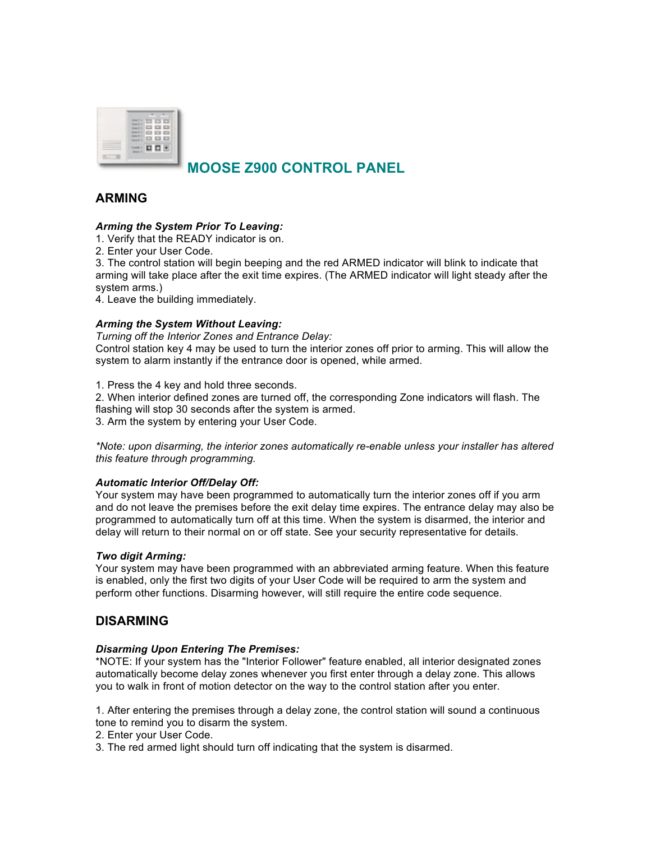

# **MOOSE Z900 CONTROL PANEL**

# **ARMING**

# *Arming the System Prior To Leaving:*

1. Verify that the READY indicator is on.

2. Enter your User Code.

3. The control station will begin beeping and the red ARMED indicator will blink to indicate that arming will take place after the exit time expires. (The ARMED indicator will light steady after the system arms.)

4. Leave the building immediately.

## *Arming the System Without Leaving:*

*Turning off the Interior Zones and Entrance Delay:*

Control station key 4 may be used to turn the interior zones off prior to arming. This will allow the system to alarm instantly if the entrance door is opened, while armed.

1. Press the 4 key and hold three seconds.

2. When interior defined zones are turned off, the corresponding Zone indicators will flash. The flashing will stop 30 seconds after the system is armed. 3. Arm the system by entering your User Code.

*\*Note: upon disarming, the interior zones automatically re-enable unless your installer has altered this feature through programming.*

#### *Automatic Interior Off/Delay Off:*

Your system may have been programmed to automatically turn the interior zones off if you arm and do not leave the premises before the exit delay time expires. The entrance delay may also be programmed to automatically turn off at this time. When the system is disarmed, the interior and delay will return to their normal on or off state. See your security representative for details.

#### *Two digit Arming:*

Your system may have been programmed with an abbreviated arming feature. When this feature is enabled, only the first two digits of your User Code will be required to arm the system and perform other functions. Disarming however, will still require the entire code sequence.

# **DISARMING**

#### *Disarming Upon Entering The Premises:*

\*NOTE: If your system has the "Interior Follower" feature enabled, all interior designated zones automatically become delay zones whenever you first enter through a delay zone. This allows you to walk in front of motion detector on the way to the control station after you enter.

1. After entering the premises through a delay zone, the control station will sound a continuous tone to remind you to disarm the system.

2. Enter your User Code.

3. The red armed light should turn off indicating that the system is disarmed.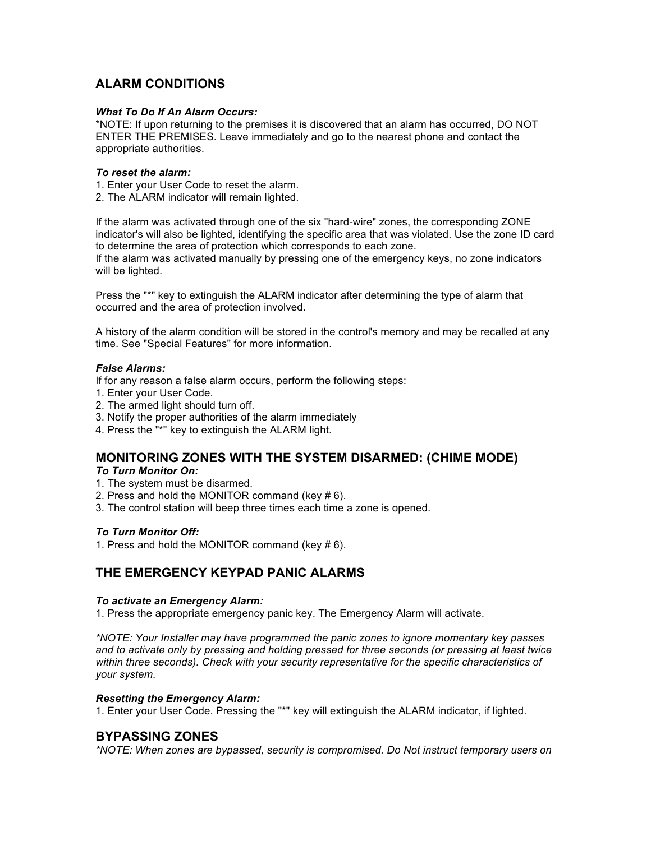# **ALARM CONDITIONS**

### *What To Do If An Alarm Occurs:*

\*NOTE: If upon returning to the premises it is discovered that an alarm has occurred, DO NOT ENTER THE PREMISES. Leave immediately and go to the nearest phone and contact the appropriate authorities.

### *To reset the alarm:*

1. Enter your User Code to reset the alarm.

2. The ALARM indicator will remain lighted.

If the alarm was activated through one of the six "hard-wire" zones, the corresponding ZONE indicator's will also be lighted, identifying the specific area that was violated. Use the zone ID card to determine the area of protection which corresponds to each zone.

If the alarm was activated manually by pressing one of the emergency keys, no zone indicators will be lighted.

Press the "\*" key to extinguish the ALARM indicator after determining the type of alarm that occurred and the area of protection involved.

A history of the alarm condition will be stored in the control's memory and may be recalled at any time. See "Special Features" for more information.

# *False Alarms:*

If for any reason a false alarm occurs, perform the following steps:

- 1. Enter your User Code.
- 2. The armed light should turn off.
- 3. Notify the proper authorities of the alarm immediately
- 4. Press the "\*" key to extinguish the ALARM light.

# **MONITORING ZONES WITH THE SYSTEM DISARMED: (CHIME MODE)**

# *To Turn Monitor On:*

- 1. The system must be disarmed.
- 2. Press and hold the MONITOR command (key # 6).
- 3. The control station will beep three times each time a zone is opened.

# *To Turn Monitor Off:*

1. Press and hold the MONITOR command (key # 6).

# **THE EMERGENCY KEYPAD PANIC ALARMS**

#### *To activate an Emergency Alarm:*

1. Press the appropriate emergency panic key. The Emergency Alarm will activate.

*\*NOTE: Your Installer may have programmed the panic zones to ignore momentary key passes and to activate only by pressing and holding pressed for three seconds (or pressing at least twice within three seconds). Check with your security representative for the specific characteristics of your system.*

#### *Resetting the Emergency Alarm:*

1. Enter your User Code. Pressing the "\*" key will extinguish the ALARM indicator, if lighted.

# **BYPASSING ZONES**

*\*NOTE: When zones are bypassed, security is compromised. Do Not instruct temporary users on*